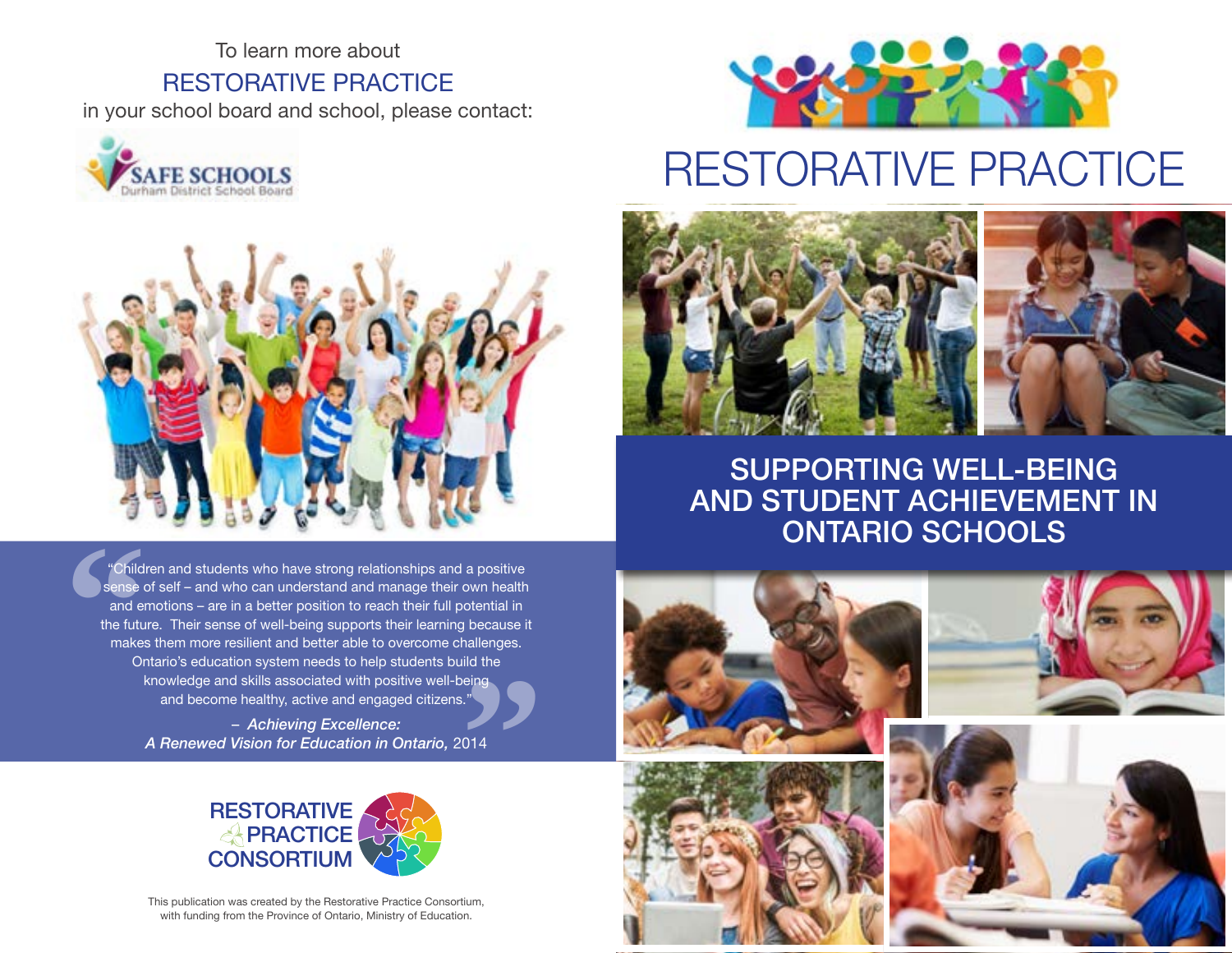To learn more about RESTORATIVE PRACTICE in your school board and school, please contact:





"Children and students who have strong relationships and a positive sense of self – and who can understand and manage their own health and emotions – are in a better position to reach their full potential in the future. Their sense of well-being supports their learning because it makes them more resilient and better able to overcome challenges. Ontario's education system needs to help students build the knowledge and skills associated with positive well-being and become healthy, active and engaged citizens." **"**<br>"<br>014 **Child**<br>
sense cand endemnated<br>
the future<br>
make:<br>
Or

– *Achieving Excellence: A Renewed Vision for Education in Ontario,* 2014



This publication was created by the Restorative Practice Consortium, with funding from the Province of Ontario, Ministry of Education.



# RESTORATIVE PRACTICE



SUPPORTING WELL-BEING AND STUDENT ACHIEVEMENT IN ONTARIO SCHOOLS